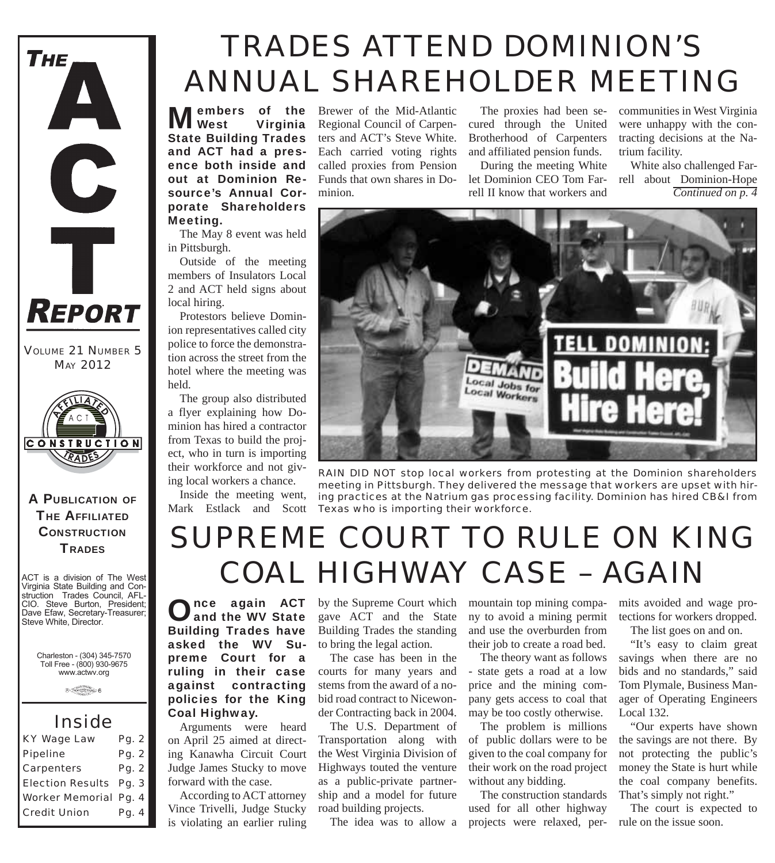

*VOLUME 21 NUMBER 5 MAY 2012*



#### A PUBLICATION OF **THE AFFILIATED CONSTRUCTION TRADES**

ACT is a division of The West Virginia State Building and Construction Trades Council, AFL-CIO. Steve Burton, President; Dave Efaw, Secretary-Treasurer; Steve White, Director.

Charleston - (304) 345-7570 Toll Free - (800) 930-9675 www.actwv.org

 $\theta \xrightarrow{\text{Cov}(1,1)} \theta$ 

### *Inside*

| <b>KY Wage Law</b>            | Pg. 2 |
|-------------------------------|-------|
| <b>Pipeline</b>               | Pg. 2 |
| <b>Carpenters</b>             | Pg. 2 |
| <b>Election Results Pg. 3</b> |       |
| <b>Worker Memorial Pg. 4</b>  |       |
| <b>Credit Union</b>           | Pg. 4 |

# *TRADES ATTEND DOMINION'S ANNUAL SHAREHOLDER MEETING*

**Members** of the **West** Virginia Virginia State Building Trades and ACT had a presence both inside and out at Dominion Resource's Annual Corporate Shareholders Meeting.

The May 8 event was held in Pittsburgh.

Outside of the meeting members of Insulators Local 2 and ACT held signs about local hiring.

Protestors believe Dominion representatives called city police to force the demonstration across the street from the hotel where the meeting was held.

The group also distributed a flyer explaining how Dominion has hired a contractor from Texas to build the project, who in turn is importing their workforce and not giving local workers a chance.

Inside the meeting went, Mark Estlack and Scott

Brewer of the Mid-Atlantic Regional Council of Carpenters and ACT's Steve White. Each carried voting rights called proxies from Pension Funds that own shares in Dominion.

The proxies had been secured through the United Brotherhood of Carpenters and affiliated pension funds.

During the meeting White let Dominion CEO Tom Farrell II know that workers and

communities in West Virginia were unhappy with the contracting decisions at the Natrium facility.

White also challenged Farrell about Dominion-Hope *Continued on p. 4*



*RAIN DID NOT stop local workers from protesting at the Dominion shareholders meeting in Pittsburgh. They delivered the message that workers are upset with hiring practices at the Natrium gas processing facility. Dominion has hired CB&I from Texas who is importing their workforce.*

# *SUPREME COURT TO RULE ON KING COAL HIGHWAY CASE – AGAIN*

Once again ACT<br>and the WV State Building Trades have asked the WV Supreme Court for a ruling in their case against contracting policies for the King Coal Highway.

Arguments were heard on April 25 aimed at directing Kanawha Circuit Court Judge James Stucky to move forward with the case.

According to ACT attorney Vince Trivelli, Judge Stucky is violating an earlier ruling by the Supreme Court which gave ACT and the State Building Trades the standing to bring the legal action.

The case has been in the courts for many years and stems from the award of a nobid road contract to Nicewonder Contracting back in 2004.

The U.S. Department of Transportation along with the West Virginia Division of Highways touted the venture as a public-private partnership and a model for future road building projects.

The idea was to allow a

mountain top mining company to avoid a mining permit and use the overburden from their job to create a road bed.

The theory want as follows - state gets a road at a low price and the mining company gets access to coal that may be too costly otherwise.

The problem is millions of public dollars were to be given to the coal company for their work on the road project without any bidding.

The construction standards used for all other highway projects were relaxed, per-

mits avoided and wage protections for workers dropped.

The list goes on and on.

"It's easy to claim great savings when there are no bids and no standards," said Tom Plymale, Business Manager of Operating Engineers Local 132.

"Our experts have shown the savings are not there. By not protecting the public's money the State is hurt while the coal company benefits. That's simply not right."

The court is expected to rule on the issue soon.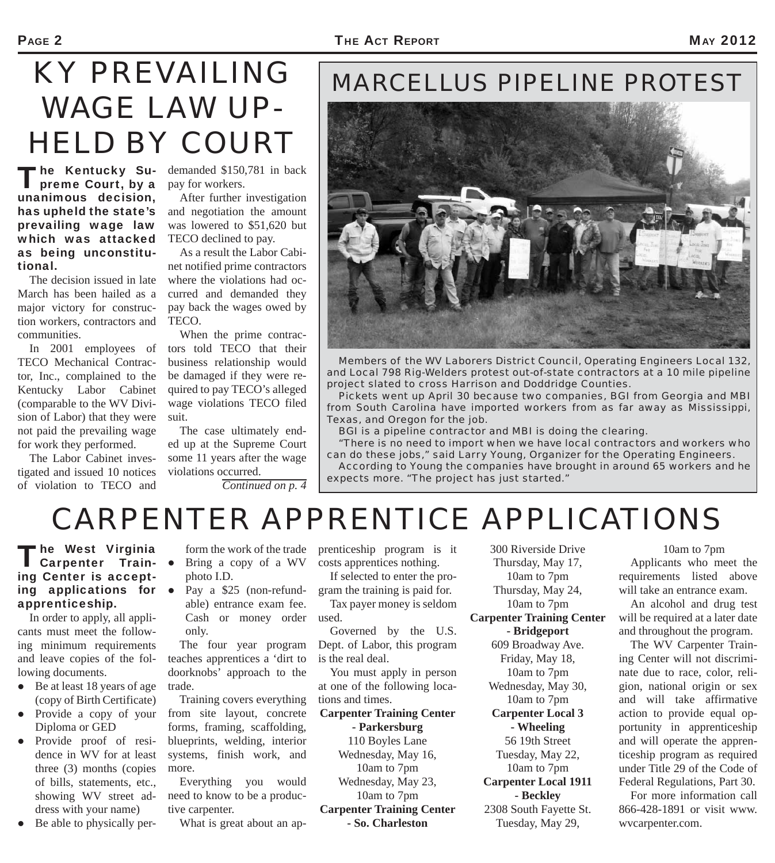#### PAGE 2 **THE ACT REPORT** AND **THE ACT REPORT** AND **MAY 2012**

# *KY PREVAILING WAGE LAW UP-HELD BY COURT*

The Kentucky Supreme Court, by a unanimous decision, has upheld the state's prevailing wage law which was attacked as being unconstitutional.

The decision issued in late March has been hailed as a major victory for construction workers, contractors and communities.

TECO Mechanical Contractor, Inc., complained to the Kentucky Labor Cabinet (comparable to the WV Division of Labor) that they were not paid the prevailing wage for work they performed.

The Labor Cabinet investigated and issued 10 notices of violation to TECO and

demanded \$150,781 in back pay for workers.

After further investigation and negotiation the amount was lowered to \$51,620 but TECO declined to pay.

As a result the Labor Cabinet notified prime contractors where the violations had occurred and demanded they pay back the wages owed by TECO.

In 2001 employees of tors told TECO that their When the prime contracbusiness relationship would be damaged if they were required to pay TECO's alleged wage violations TECO filed suit.

The case ultimately ended up at the Supreme Court some 11 years after the wage violations occurred.

*Continued on p. 4*

### *MARCELLUS PIPELINE PROTEST*



*Members of the WV Laborers District Council, Operating Engineers Local 132, and Local 798 Rig-Welders protest out-of-state contractors at a 10 mile pipeline project slated to cross Harrison and Doddridge Counties.* 

*Pickets went up April 30 because two companies, BGI from Georgia and MBI from South Carolina have imported workers from as far away as Mississippi, Texas, and Oregon for the job.*

*BGI is a pipeline contractor and MBI is doing the clearing.* 

*"There is no need to import when we have local contractors and workers who can do these jobs," said Larry Young, Organizer for the Operating Engineers. According to Young the companies have brought in around 65 workers and he expects more. "The project has just started."*

# *CARPENTER APPRENTICE APPLICATIONS*

The West Virginia<br>
Carpenter Training Center is accepting applications for apprenticeship.

In order to apply, all applicants must meet the following minimum requirements and leave copies of the following documents.

- Be at least 18 years of age (copy of Birth Certificate)
- Provide a copy of your Diploma or GED
- Provide proof of residence in WV for at least three (3) months (copies of bills, statements, etc., showing WV street address with your name)
- Be able to physically per-

form the work of the trade

Bring a copy of a WV

photo I.D. Pay a \$25 (non-refundable) entrance exam fee. Cash or money order used. only.

The four year program teaches apprentices a 'dirt to doorknobs' approach to the trade.

Training covers everything from site layout, concrete forms, framing, scaffolding, blueprints, welding, interior systems, finish work, and more.

Everything you would need to know to be a productive carpenter.

What is great about an ap-

prenticeship program is it costs apprentices nothing.

If selected to enter the program the training is paid for. Tax payer money is seldom

Governed by the U.S. Dept. of Labor, this program is the real deal.

You must apply in person at one of the following locations and times.

**Carpenter Training Center - Parkersburg** 110 Boyles Lane

Wednesday, May 16, 10am to 7pm Wednesday, May 23, 10am to 7pm **Carpenter Training Center - So. Charleston**

300 Riverside Drive Thursday, May 17, 10am to 7pm Thursday, May 24, 10am to 7pm **Carpenter Training Center - Bridgeport** 609 Broadway Ave. Friday, May 18, 10am to 7pm Wednesday, May 30, 10am to 7pm **Carpenter Local 3 - Wheeling** 56 19th Street Tuesday, May 22, 10am to 7pm **Carpenter Local 1911 - Beckley** 2308 South Fayette St. Tuesday, May 29,

### 10am to 7pm

Applicants who meet the requirements listed above will take an entrance exam.

An alcohol and drug test will be required at a later date and throughout the program.

The WV Carpenter Training Center will not discriminate due to race, color, religion, national origin or sex and will take affirmative action to provide equal opportunity in apprenticeship and will operate the apprenticeship program as required under Title 29 of the Code of Federal Regulations, Part 30.

For more information call 866-428-1891 or visit www. wvcarpenter.com.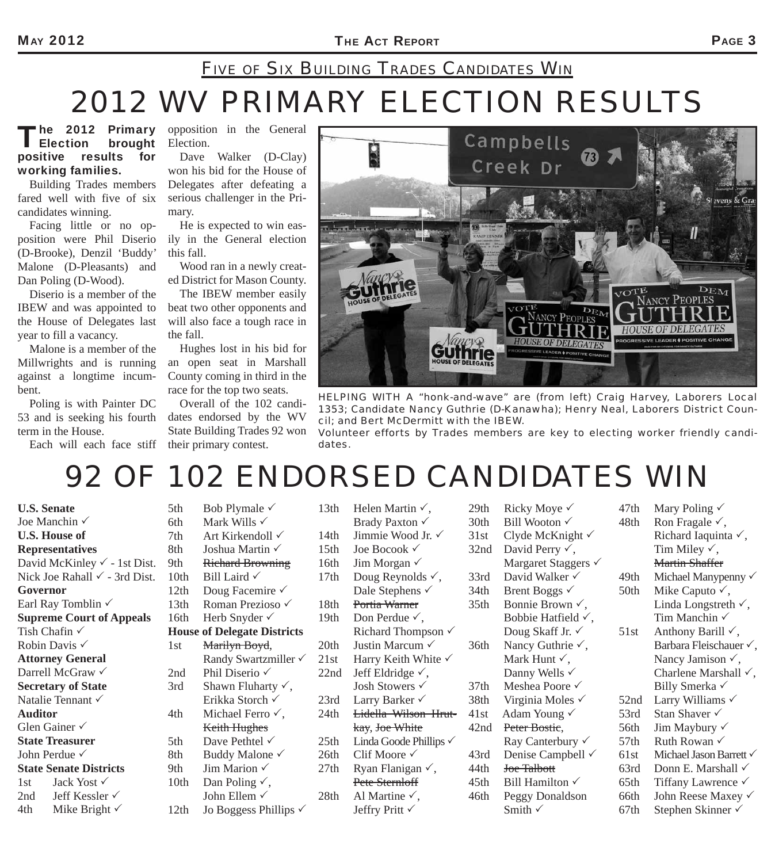### *2012 WV PRIMARY ELECTION RESULTS FIVE OF SIX BUILDING TRADES CANDIDATES WIN*

#### The 2012 Primary<br>| Election brought<br>| esults for brought positive results working families.

Building Trades members fared well with five of six candidates winning.

Facing little or no opposition were Phil Diserio (D-Brooke), Denzil 'Buddy' Malone (D-Pleasants) and Dan Poling (D-Wood).

Diserio is a member of the IBEW and was appointed to the House of Delegates last year to fill a vacancy.

Malone is a member of the Millwrights and is running against a longtime incumbent.

Poling is with Painter DC 53 and is seeking his fourth term in the House.

Each will each face stiff

opposition in the General Election.

Dave Walker (D-Clay) won his bid for the House of Delegates after defeating a serious challenger in the Primary.

He is expected to win easily in the General election this fall.

Wood ran in a newly created District for Mason County.

The IBEW member easily beat two other opponents and will also face a tough race in the fall.

Hughes lost in his bid for an open seat in Marshall County coming in third in the race for the top two seats.

Overall of the 102 candidates endorsed by the WV State Building Trades 92 won their primary contest.



*HELPING WITH A "honk-and-wave" are (from left) Craig Harvey, Laborers Local 1353; Candidate Nancy Guthrie (D-Kanawha); Henry Neal, Laborers District Council; and Bert McDermitt with the IBEW. Volunteer efforts by Trades members are key to electing worker friendly candi-*

### *92 OF 102 ENDORSED CANDIDATES WIN*

*dates.*

**U.S. Senate** Joe Manchin **U.S. House of Representatives**  David McKinley  $\checkmark$  - 1st Dist. Nick Joe Rahall  $\checkmark$  - 3rd Dist. **Governor** Earl Ray Tomblin **Supreme Court of Appeals**  Tish Chafin √ Robin Davis **Attorney General** Darrell McGraw √ **Secretary of State** Natalie Tennant √ **Auditor** Glen Gainer **State Treasurer** John Perdue **State Senate Districts**  1st Jack Yost  $\checkmark$ 2nd Jeff Kessler  $\checkmark$ 4th Mike Bright  $\checkmark$ 

5th Bob Plymale  $\checkmark$ 6th Mark Wills  $\checkmark$ 7th Art Kirkendoll  $\checkmark$ 8th Joshua Martin  $\checkmark$ 9th Richard Browning 10th Bill Laird  $\checkmark$ 12th Doug Facemire  $\checkmark$ 13th Roman Prezioso 16th Herb Snyder  $\checkmark$ **House of Delegate Districts** 1st Marilyn Boyd, Randy Swartzmiller 2nd Phil Diserio ✓ 3rd Shawn Fluharty  $\checkmark$ , Erikka Storch 4th Michael Ferro  $\checkmark$ , Keith Hughes 5th Dave Pethtel  $\checkmark$ 8th Buddy Malone  $\checkmark$ 9th Jim Marion  $\checkmark$ 10th Dan Poling  $\checkmark$ , John Ellem 12th Jo Boggess Phillips  $\checkmark$ 

| 13th | Helen Martin $\checkmark$ ,       | 29th             |
|------|-----------------------------------|------------------|
|      | Brady Paxton √                    | 30th             |
| 14th | Jimmie Wood Jr. √                 | 31st             |
| 15th | Joe Bocook $\checkmark$           | 32n              |
| 16th | Jim Morgan $\checkmark$           |                  |
| 17th | Doug Reynolds $\checkmark$ ,      | 33 <sub>rc</sub> |
|      | Dale Stephens √                   | 34th             |
| 18th | Portia Warner                     | 35th             |
| 19th | Don Perdue $\checkmark$ ,         |                  |
|      | Richard Thompson $\checkmark$     |                  |
| 20th | Justin Marcum V                   | 36th             |
| 21st | Harry Keith White $\checkmark$    |                  |
| 22nd | Jeff Eldridge $\checkmark$ ,      |                  |
|      | Josh Stowers $\checkmark$         | 37th             |
| 23rd | Larry Barker $\checkmark$         | 38th             |
| 24th | <b>Lidella Wilson Hrut-</b>       | 41st             |
|      | kay, Joe White                    | 42n              |
| 25th | Linda Goode Phillips $\checkmark$ |                  |
| 26th | Clif Moore $\checkmark$           | 43rc             |
| 27th | Ryan Flanigan $\checkmark$ ,      | 44th             |
|      | Pete Sternloff                    | 45th             |
| 28th | Al Martine $\checkmark$ ,         | 46th             |
|      | Jeffry Pritt √                    |                  |
|      |                                   |                  |

| 47th | Mary Poling √                   |
|------|---------------------------------|
| 48th | Ron Fragale $\checkmark$ ,      |
|      | Richard Iaquinta √,             |
|      | Tim Miley $\checkmark$ ,        |
|      | <b>Martin Shaffer</b>           |
| 49th | Michael Manypenny v             |
| 50th | Mike Caputo $\checkmark$ ,      |
|      | Linda Longstreth $\checkmark$ , |
|      | Tim Manchin √                   |
| 51st | Anthony Barill $\checkmark$ ,   |
|      | Barbara Fleischauer√,           |
|      | Nancy Jamison $\checkmark$ ,    |
|      | Charlene Marshall √,            |
|      | Billy Smerka √                  |
| 52nd | Larry Williams √                |
| 53rd | Stan Shaver √                   |
| 56th | Jim Maybury $\checkmark$        |
| 57th | Ruth Rowan √                    |
| 61st | Michael Jason Barrett v         |
| 63rd | Donn E. Marshall $\checkmark$   |
| 65th | Tiffany Lawrence √              |
| 66th | John Reese Maxey √              |
| 67th | Stephen Skinner √               |
|      |                                 |